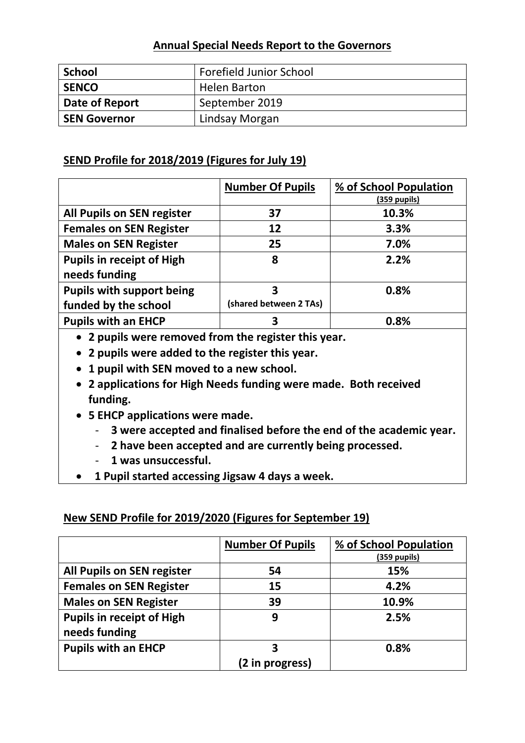# **Annual Special Needs Report to the Governors**

| <b>School</b>       | <b>Forefield Junior School</b> |
|---------------------|--------------------------------|
| <b>SENCO</b>        | <b>Helen Barton</b>            |
| Date of Report      | September 2019                 |
| <b>SEN Governor</b> | Lindsay Morgan                 |

# **SEND Profile for 2018/2019 (Figures for July 19)**

|                                   | <b>Number Of Pupils</b> | % of School Population<br><u>(359 pupils)</u> |
|-----------------------------------|-------------------------|-----------------------------------------------|
| <b>All Pupils on SEN register</b> | 37                      | 10.3%                                         |
| <b>Females on SEN Register</b>    | 12                      | 3.3%                                          |
| <b>Males on SEN Register</b>      | 25                      | 7.0%                                          |
| <b>Pupils in receipt of High</b>  | 8                       | 2.2%                                          |
| needs funding                     |                         |                                               |
| <b>Pupils with support being</b>  | 3                       | 0.8%                                          |
| funded by the school              | (shared between 2 TAs)  |                                               |
| <b>Pupils with an EHCP</b>        | 3                       | 0.8%                                          |

- **2 pupils were removed from the register this year.**
- **2 pupils were added to the register this year.**
- **1 pupil with SEN moved to a new school.**
- **2 applications for High Needs funding were made. Both received funding.**
- **5 EHCP applications were made.** 
	- **3 were accepted and finalised before the end of the academic year.**
	- **2 have been accepted and are currently being processed.**
	- **1 was unsuccessful.**
- **1 Pupil started accessing Jigsaw 4 days a week.**

# **New SEND Profile for 2019/2020 (Figures for September 19)**

|                                  | <b>Number Of Pupils</b> | % of School Population |
|----------------------------------|-------------------------|------------------------|
|                                  |                         | (359 pupils)           |
| All Pupils on SEN register       | 54                      | 15%                    |
| <b>Females on SEN Register</b>   | 15                      | 4.2%                   |
| <b>Males on SEN Register</b>     | 39                      | 10.9%                  |
| <b>Pupils in receipt of High</b> | 9                       | 2.5%                   |
| needs funding                    |                         |                        |
| <b>Pupils with an EHCP</b>       | 3                       | 0.8%                   |
|                                  | (2 in progress)         |                        |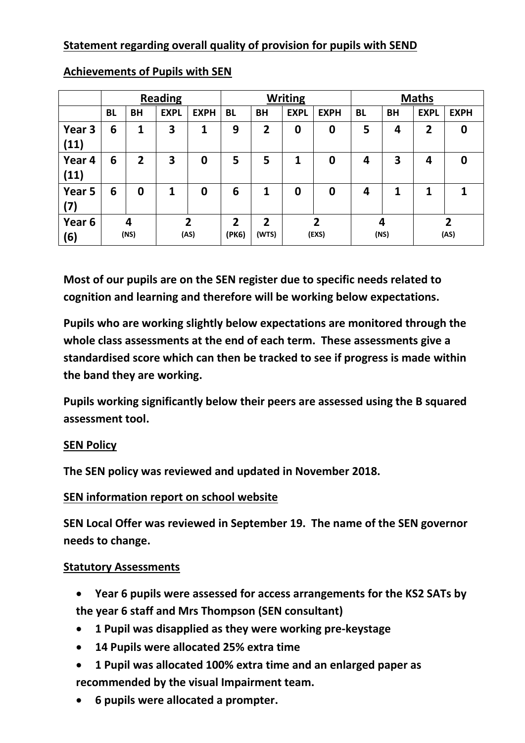# **Statement regarding overall quality of provision for pupils with SEND**

|                | <b>Reading</b> |                |                         |                | <b>Writing</b> |                |             | <b>Maths</b>     |                         |           |                |                |
|----------------|----------------|----------------|-------------------------|----------------|----------------|----------------|-------------|------------------|-------------------------|-----------|----------------|----------------|
|                | <b>BL</b>      | ΒH             | <b>EXPL</b>             | <b>EXPH</b>    | <b>BL</b>      | <b>BH</b>      | <b>EXPL</b> | <b>EXPH</b>      | <b>BL</b>               | <b>BH</b> | <b>EXPL</b>    | <b>EXPH</b>    |
| Year 3<br>(11) | 6              | 1              | 3                       | 1              | 9              | $\overline{2}$ | 0           | $\boldsymbol{0}$ | 5                       | 4         | $\overline{2}$ | 0              |
| Year 4<br>(11) | 6              | $\overline{2}$ | $\overline{\mathbf{3}}$ | 0              | 5              | 5              | 1           | 0                | $\overline{\mathbf{4}}$ | 3         | 4              | 0              |
| Year 5<br>(7)  | 6              | 0              | 1                       | 0              | 6              | 1              | 0           | 0                | $\overline{\mathbf{4}}$ | 1         | 1              | 1              |
| Year 6         |                | 4              |                         | $\overline{2}$ | $\overline{2}$ | $\overline{2}$ |             | າ                | 4                       |           |                | $\overline{2}$ |
| (6)            | (NS)           |                |                         | (AS)           | (PK6)          | (WTS)          |             | (EXS)            |                         | (NS)      |                | (AS)           |

**Achievements of Pupils with SEN**

**Most of our pupils are on the SEN register due to specific needs related to cognition and learning and therefore will be working below expectations.** 

**Pupils who are working slightly below expectations are monitored through the whole class assessments at the end of each term. These assessments give a standardised score which can then be tracked to see if progress is made within the band they are working.**

**Pupils working significantly below their peers are assessed using the B squared assessment tool.** 

# **SEN Policy**

**The SEN policy was reviewed and updated in November 2018.**

# **SEN information report on school website**

**SEN Local Offer was reviewed in September 19. The name of the SEN governor needs to change.**

#### **Statutory Assessments**

- **Year 6 pupils were assessed for access arrangements for the KS2 SATs by the year 6 staff and Mrs Thompson (SEN consultant)**
- **1 Pupil was disapplied as they were working pre-keystage**
- **14 Pupils were allocated 25% extra time**
- **1 Pupil was allocated 100% extra time and an enlarged paper as recommended by the visual Impairment team.**
- **6 pupils were allocated a prompter.**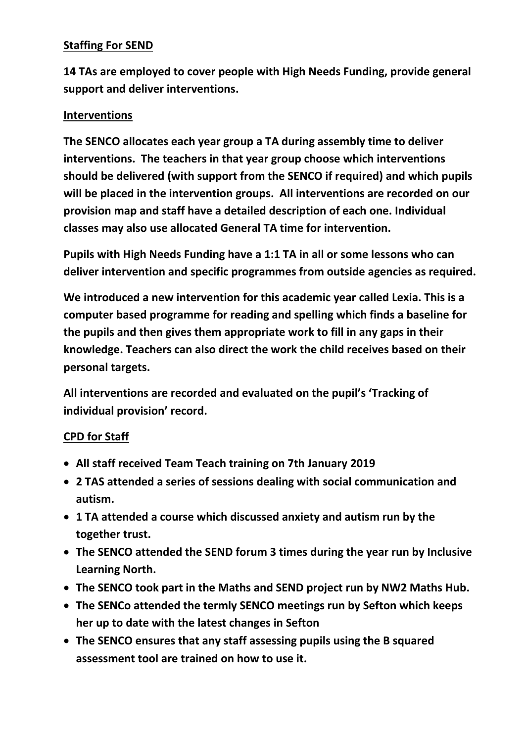# **Staffing For SEND**

**14 TAs are employed to cover people with High Needs Funding, provide general support and deliver interventions.**

# **Interventions**

**The SENCO allocates each year group a TA during assembly time to deliver interventions. The teachers in that year group choose which interventions should be delivered (with support from the SENCO if required) and which pupils will be placed in the intervention groups. All interventions are recorded on our provision map and staff have a detailed description of each one. Individual classes may also use allocated General TA time for intervention.**

**Pupils with High Needs Funding have a 1:1 TA in all or some lessons who can deliver intervention and specific programmes from outside agencies as required.** 

**We introduced a new intervention for this academic year called Lexia. This is a computer based programme for reading and spelling which finds a baseline for the pupils and then gives them appropriate work to fill in any gaps in their knowledge. Teachers can also direct the work the child receives based on their personal targets.**

**All interventions are recorded and evaluated on the pupil's 'Tracking of individual provision' record.**

# **CPD for Staff**

- **All staff received Team Teach training on 7th January 2019**
- **2 TAS attended a series of sessions dealing with social communication and autism.**
- **1 TA attended a course which discussed anxiety and autism run by the together trust.**
- **The SENCO attended the SEND forum 3 times during the year run by Inclusive Learning North.**
- **The SENCO took part in the Maths and SEND project run by NW2 Maths Hub.**
- **The SENCo attended the termly SENCO meetings run by Sefton which keeps her up to date with the latest changes in Sefton**
- **The SENCO ensures that any staff assessing pupils using the B squared assessment tool are trained on how to use it.**